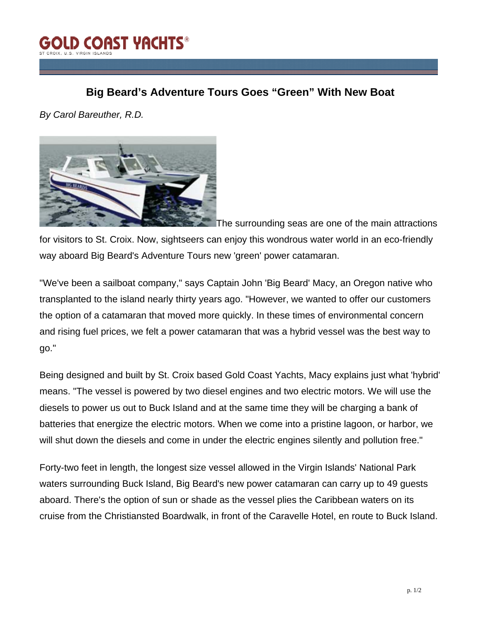

## **Big Beard's Adventure Tours Goes "Green" With New Boat**

*By Carol Bareuther, R.D.*



The surrounding seas are one of the main attractions for visitors to St. Croix. Now, sightseers can enjoy this wondrous water world in an eco-friendly way aboard Big Beard's Adventure Tours new 'green' power catamaran.

"We've been a sailboat company," says Captain John 'Big Beard' Macy, an Oregon native who transplanted to the island nearly thirty years ago. "However, we wanted to offer our customers the option of a catamaran that moved more quickly. In these times of environmental concern and rising fuel prices, we felt a power catamaran that was a hybrid vessel was the best way to go."

Being designed and built by St. Croix based Gold Coast Yachts, Macy explains just what 'hybrid' means. "The vessel is powered by two diesel engines and two electric motors. We will use the diesels to power us out to Buck Island and at the same time they will be charging a bank of batteries that energize the electric motors. When we come into a pristine lagoon, or harbor, we will shut down the diesels and come in under the electric engines silently and pollution free."

Forty-two feet in length, the longest size vessel allowed in the Virgin Islands' National Park waters surrounding Buck Island, Big Beard's new power catamaran can carry up to 49 guests aboard. There's the option of sun or shade as the vessel plies the Caribbean waters on its cruise from the Christiansted Boardwalk, in front of the Caravelle Hotel, en route to Buck Island.